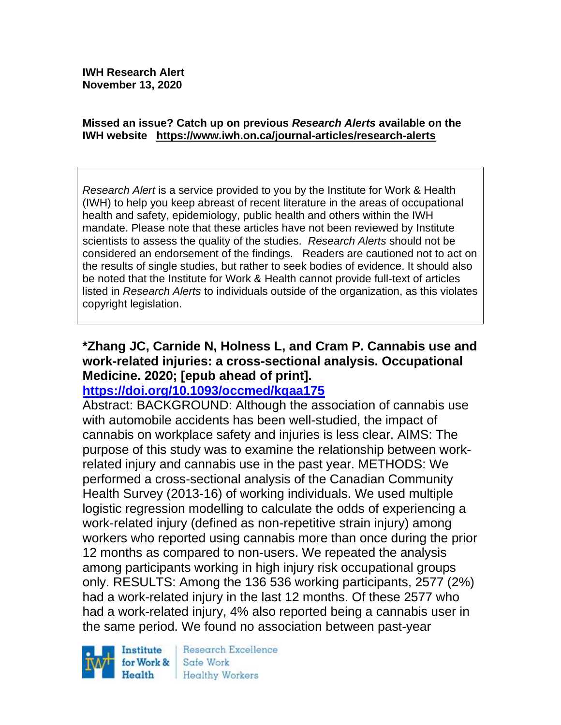**IWH Research Alert November 13, 2020**

#### **Missed an issue? Catch up on previous** *Research Alerts* **available on the [IWH website](http://www.iwh.on.ca/research-alerts) <https://www.iwh.on.ca/journal-articles/research-alerts>**

*Research Alert* is a service provided to you by the Institute for Work & Health (IWH) to help you keep abreast of recent literature in the areas of occupational health and safety, epidemiology, public health and others within the IWH mandate. Please note that these articles have not been reviewed by Institute scientists to assess the quality of the studies. *Research Alerts* should not be considered an endorsement of the findings. Readers are cautioned not to act on the results of single studies, but rather to seek bodies of evidence. It should also be noted that the Institute for Work & Health cannot provide full-text of articles listed in *Research Alerts* to individuals outside of the organization, as this violates copyright legislation.

## **\*Zhang JC, Carnide N, Holness L, and Cram P. Cannabis use and work-related injuries: a cross-sectional analysis. Occupational Medicine. 2020; [epub ahead of print].**

#### **<https://doi.org/10.1093/occmed/kqaa175>**

Abstract: BACKGROUND: Although the association of cannabis use with automobile accidents has been well-studied, the impact of cannabis on workplace safety and injuries is less clear. AIMS: The purpose of this study was to examine the relationship between workrelated injury and cannabis use in the past year. METHODS: We performed a cross-sectional analysis of the Canadian Community Health Survey (2013-16) of working individuals. We used multiple logistic regression modelling to calculate the odds of experiencing a work-related injury (defined as non-repetitive strain injury) among workers who reported using cannabis more than once during the prior 12 months as compared to non-users. We repeated the analysis among participants working in high injury risk occupational groups only. RESULTS: Among the 136 536 working participants, 2577 (2%) had a work-related injury in the last 12 months. Of these 2577 who had a work-related injury, 4% also reported being a cannabis user in the same period. We found no association between past-year



Research Excellence Safe Work Healthy Workers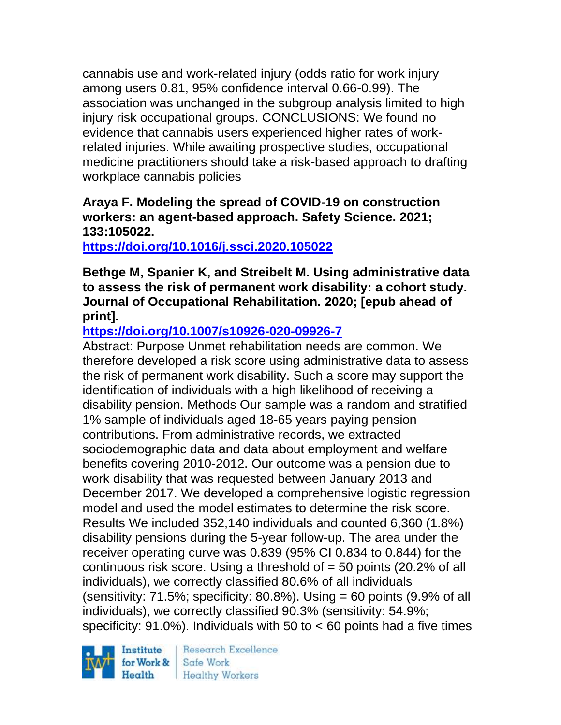cannabis use and work-related injury (odds ratio for work injury among users 0.81, 95% confidence interval 0.66-0.99). The association was unchanged in the subgroup analysis limited to high injury risk occupational groups. CONCLUSIONS: We found no evidence that cannabis users experienced higher rates of workrelated injuries. While awaiting prospective studies, occupational medicine practitioners should take a risk-based approach to drafting workplace cannabis policies

## **Araya F. Modeling the spread of COVID-19 on construction workers: an agent-based approach. Safety Science. 2021; 133:105022.**

**<https://doi.org/10.1016/j.ssci.2020.105022>** 

**Bethge M, Spanier K, and Streibelt M. Using administrative data to assess the risk of permanent work disability: a cohort study. Journal of Occupational Rehabilitation. 2020; [epub ahead of print].**

# **<https://doi.org/10.1007/s10926-020-09926-7>**

Abstract: Purpose Unmet rehabilitation needs are common. We therefore developed a risk score using administrative data to assess the risk of permanent work disability. Such a score may support the identification of individuals with a high likelihood of receiving a disability pension. Methods Our sample was a random and stratified 1% sample of individuals aged 18-65 years paying pension contributions. From administrative records, we extracted sociodemographic data and data about employment and welfare benefits covering 2010-2012. Our outcome was a pension due to work disability that was requested between January 2013 and December 2017. We developed a comprehensive logistic regression model and used the model estimates to determine the risk score. Results We included 352,140 individuals and counted 6,360 (1.8%) disability pensions during the 5-year follow-up. The area under the receiver operating curve was 0.839 (95% CI 0.834 to 0.844) for the continuous risk score. Using a threshold of  $=$  50 points (20.2% of all individuals), we correctly classified 80.6% of all individuals (sensitivity:  $71.5\%$ ; specificity:  $80.8\%$ ). Using = 60 points (9.9% of all individuals), we correctly classified 90.3% (sensitivity: 54.9%; specificity:  $91.0\%$ ). Individuals with 50 to  $< 60$  points had a five times

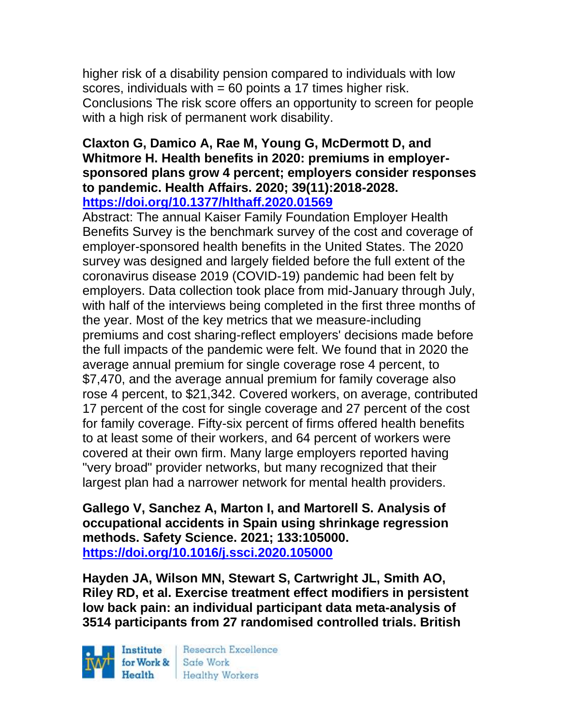higher risk of a disability pension compared to individuals with low scores, individuals with  $= 60$  points a 17 times higher risk. Conclusions The risk score offers an opportunity to screen for people with a high risk of permanent work disability.

#### **Claxton G, Damico A, Rae M, Young G, McDermott D, and Whitmore H. Health benefits in 2020: premiums in employersponsored plans grow 4 percent; employers consider responses to pandemic. Health Affairs. 2020; 39(11):2018-2028. <https://doi.org/10.1377/hlthaff.2020.01569>**

Abstract: The annual Kaiser Family Foundation Employer Health Benefits Survey is the benchmark survey of the cost and coverage of employer-sponsored health benefits in the United States. The 2020 survey was designed and largely fielded before the full extent of the coronavirus disease 2019 (COVID-19) pandemic had been felt by employers. Data collection took place from mid-January through July, with half of the interviews being completed in the first three months of the year. Most of the key metrics that we measure-including premiums and cost sharing-reflect employers' decisions made before the full impacts of the pandemic were felt. We found that in 2020 the average annual premium for single coverage rose 4 percent, to \$7,470, and the average annual premium for family coverage also rose 4 percent, to \$21,342. Covered workers, on average, contributed 17 percent of the cost for single coverage and 27 percent of the cost for family coverage. Fifty-six percent of firms offered health benefits to at least some of their workers, and 64 percent of workers were covered at their own firm. Many large employers reported having "very broad" provider networks, but many recognized that their largest plan had a narrower network for mental health providers.

**Gallego V, Sanchez A, Marton I, and Martorell S. Analysis of occupational accidents in Spain using shrinkage regression methods. Safety Science. 2021; 133:105000. <https://doi.org/10.1016/j.ssci.2020.105000>** 

**Hayden JA, Wilson MN, Stewart S, Cartwright JL, Smith AO, Riley RD, et al. Exercise treatment effect modifiers in persistent low back pain: an individual participant data meta-analysis of 3514 participants from 27 randomised controlled trials. British** 

Institute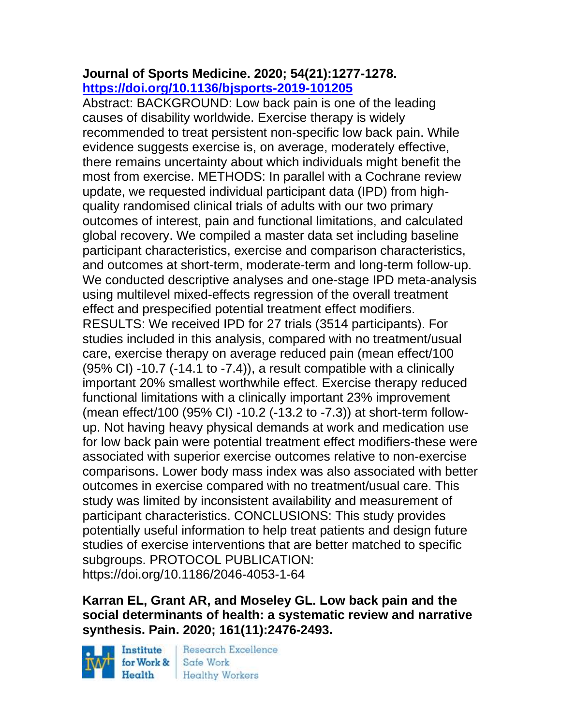## **Journal of Sports Medicine. 2020; 54(21):1277-1278. <https://doi.org/10.1136/bjsports-2019-101205>**

Abstract: BACKGROUND: Low back pain is one of the leading causes of disability worldwide. Exercise therapy is widely recommended to treat persistent non-specific low back pain. While evidence suggests exercise is, on average, moderately effective, there remains uncertainty about which individuals might benefit the most from exercise. METHODS: In parallel with a Cochrane review update, we requested individual participant data (IPD) from highquality randomised clinical trials of adults with our two primary outcomes of interest, pain and functional limitations, and calculated global recovery. We compiled a master data set including baseline participant characteristics, exercise and comparison characteristics, and outcomes at short-term, moderate-term and long-term follow-up. We conducted descriptive analyses and one-stage IPD meta-analysis using multilevel mixed-effects regression of the overall treatment effect and prespecified potential treatment effect modifiers. RESULTS: We received IPD for 27 trials (3514 participants). For studies included in this analysis, compared with no treatment/usual care, exercise therapy on average reduced pain (mean effect/100 (95% CI) -10.7 (-14.1 to -7.4)), a result compatible with a clinically important 20% smallest worthwhile effect. Exercise therapy reduced functional limitations with a clinically important 23% improvement (mean effect/100 (95% CI) -10.2 (-13.2 to -7.3)) at short-term followup. Not having heavy physical demands at work and medication use for low back pain were potential treatment effect modifiers-these were associated with superior exercise outcomes relative to non-exercise comparisons. Lower body mass index was also associated with better outcomes in exercise compared with no treatment/usual care. This study was limited by inconsistent availability and measurement of participant characteristics. CONCLUSIONS: This study provides potentially useful information to help treat patients and design future studies of exercise interventions that are better matched to specific subgroups. PROTOCOL PUBLICATION: https://doi.org/10.1186/2046-4053-1-64

## **Karran EL, Grant AR, and Moseley GL. Low back pain and the social determinants of health: a systematic review and narrative synthesis. Pain. 2020; 161(11):2476-2493.**

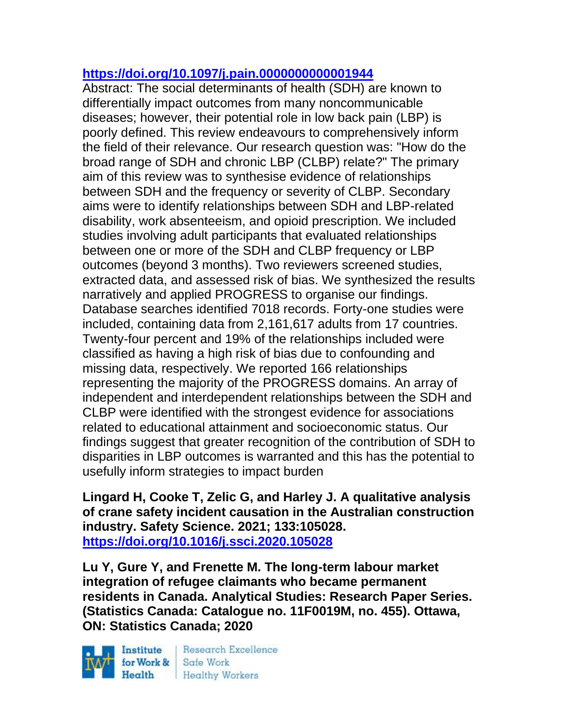## **<https://doi.org/10.1097/j.pain.0000000000001944>**

Abstract: The social determinants of health (SDH) are known to differentially impact outcomes from many noncommunicable diseases; however, their potential role in low back pain (LBP) is poorly defined. This review endeavours to comprehensively inform the field of their relevance. Our research question was: "How do the broad range of SDH and chronic LBP (CLBP) relate?" The primary aim of this review was to synthesise evidence of relationships between SDH and the frequency or severity of CLBP. Secondary aims were to identify relationships between SDH and LBP-related disability, work absenteeism, and opioid prescription. We included studies involving adult participants that evaluated relationships between one or more of the SDH and CLBP frequency or LBP outcomes (beyond 3 months). Two reviewers screened studies, extracted data, and assessed risk of bias. We synthesized the results narratively and applied PROGRESS to organise our findings. Database searches identified 7018 records. Forty-one studies were included, containing data from 2,161,617 adults from 17 countries. Twenty-four percent and 19% of the relationships included were classified as having a high risk of bias due to confounding and missing data, respectively. We reported 166 relationships representing the majority of the PROGRESS domains. An array of independent and interdependent relationships between the SDH and CLBP were identified with the strongest evidence for associations related to educational attainment and socioeconomic status. Our findings suggest that greater recognition of the contribution of SDH to disparities in LBP outcomes is warranted and this has the potential to usefully inform strategies to impact burden

**Lingard H, Cooke T, Zelic G, and Harley J. A qualitative analysis of crane safety incident causation in the Australian construction industry. Safety Science. 2021; 133:105028. <https://doi.org/10.1016/j.ssci.2020.105028>** 

**Lu Y, Gure Y, and Frenette M. The long-term labour market integration of refugee claimants who became permanent residents in Canada. Analytical Studies: Research Paper Series. (Statistics Canada: Catalogue no. 11F0019M, no. 455). Ottawa, ON: Statistics Canada; 2020** 

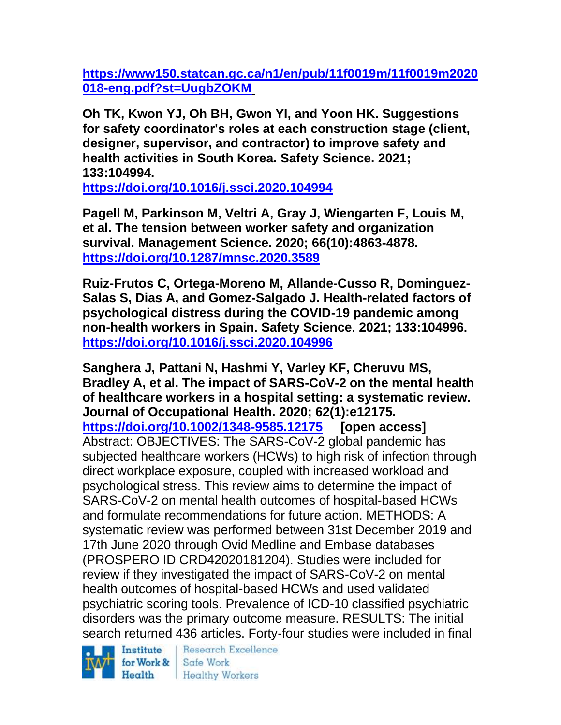**[https://www150.statcan.gc.ca/n1/en/pub/11f0019m/11f0019m2020](https://www150.statcan.gc.ca/n1/en/pub/11f0019m/11f0019m2020018-eng.pdf?st=UugbZOKM) [018-eng.pdf?st=UugbZOKM](https://www150.statcan.gc.ca/n1/en/pub/11f0019m/11f0019m2020018-eng.pdf?st=UugbZOKM)**

**Oh TK, Kwon YJ, Oh BH, Gwon YI, and Yoon HK. Suggestions for safety coordinator's roles at each construction stage (client, designer, supervisor, and contractor) to improve safety and health activities in South Korea. Safety Science. 2021; 133:104994.**

**<https://doi.org/10.1016/j.ssci.2020.104994>** 

**Pagell M, Parkinson M, Veltri A, Gray J, Wiengarten F, Louis M, et al. The tension between worker safety and organization survival. Management Science. 2020; 66(10):4863-4878. <https://doi.org/10.1287/mnsc.2020.3589>** 

**Ruiz-Frutos C, Ortega-Moreno M, Allande-Cusso R, Dominguez-Salas S, Dias A, and Gomez-Salgado J. Health-related factors of psychological distress during the COVID-19 pandemic among non-health workers in Spain. Safety Science. 2021; 133:104996. <https://doi.org/10.1016/j.ssci.2020.104996>** 

**Sanghera J, Pattani N, Hashmi Y, Varley KF, Cheruvu MS, Bradley A, et al. The impact of SARS-CoV-2 on the mental health of healthcare workers in a hospital setting: a systematic review. Journal of Occupational Health. 2020; 62(1):e12175. <https://doi.org/10.1002/1348-9585.12175> [open access]** Abstract: OBJECTIVES: The SARS-CoV-2 global pandemic has subjected healthcare workers (HCWs) to high risk of infection through direct workplace exposure, coupled with increased workload and psychological stress. This review aims to determine the impact of SARS-CoV-2 on mental health outcomes of hospital-based HCWs and formulate recommendations for future action. METHODS: A systematic review was performed between 31st December 2019 and 17th June 2020 through Ovid Medline and Embase databases (PROSPERO ID CRD42020181204). Studies were included for review if they investigated the impact of SARS-CoV-2 on mental health outcomes of hospital-based HCWs and used validated psychiatric scoring tools. Prevalence of ICD-10 classified psychiatric disorders was the primary outcome measure. RESULTS: The initial search returned 436 articles. Forty-four studies were included in final

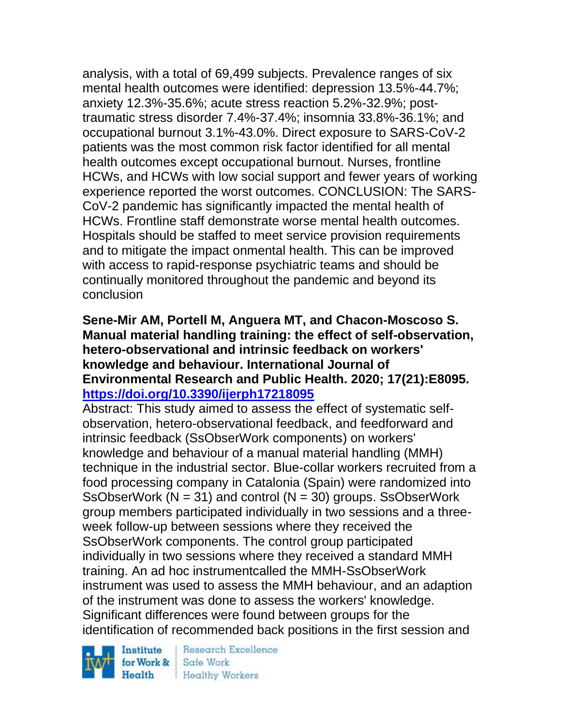analysis, with a total of 69,499 subjects. Prevalence ranges of six mental health outcomes were identified: depression 13.5%-44.7%; anxiety 12.3%-35.6%; acute stress reaction 5.2%-32.9%; posttraumatic stress disorder 7.4%-37.4%; insomnia 33.8%-36.1%; and occupational burnout 3.1%-43.0%. Direct exposure to SARS-CoV-2 patients was the most common risk factor identified for all mental health outcomes except occupational burnout. Nurses, frontline HCWs, and HCWs with low social support and fewer years of working experience reported the worst outcomes. CONCLUSION: The SARS-CoV-2 pandemic has significantly impacted the mental health of HCWs. Frontline staff demonstrate worse mental health outcomes. Hospitals should be staffed to meet service provision requirements and to mitigate the impact onmental health. This can be improved with access to rapid-response psychiatric teams and should be continually monitored throughout the pandemic and beyond its conclusion

#### **Sene-Mir AM, Portell M, Anguera MT, and Chacon-Moscoso S. Manual material handling training: the effect of self-observation, hetero-observational and intrinsic feedback on workers' knowledge and behaviour. International Journal of Environmental Research and Public Health. 2020; 17(21):E8095. <https://doi.org/10.3390/ijerph17218095>**

Abstract: This study aimed to assess the effect of systematic selfobservation, hetero-observational feedback, and feedforward and intrinsic feedback (SsObserWork components) on workers' knowledge and behaviour of a manual material handling (MMH) technique in the industrial sector. Blue-collar workers recruited from a food processing company in Catalonia (Spain) were randomized into SsObserWork ( $N = 31$ ) and control ( $N = 30$ ) groups. SsObserWork group members participated individually in two sessions and a threeweek follow-up between sessions where they received the SsObserWork components. The control group participated individually in two sessions where they received a standard MMH training. An ad hoc instrumentcalled the MMH-SsObserWork instrument was used to assess the MMH behaviour, and an adaption of the instrument was done to assess the workers' knowledge. Significant differences were found between groups for the identification of recommended back positions in the first session and

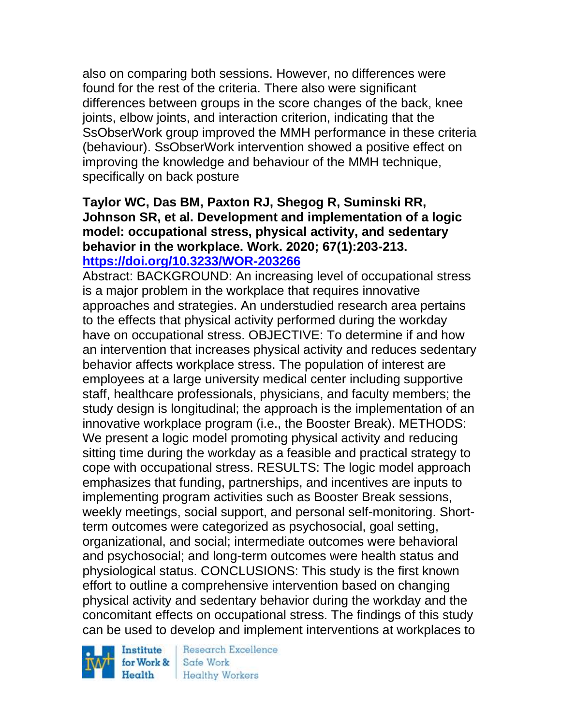also on comparing both sessions. However, no differences were found for the rest of the criteria. There also were significant differences between groups in the score changes of the back, knee joints, elbow joints, and interaction criterion, indicating that the SsObserWork group improved the MMH performance in these criteria (behaviour). SsObserWork intervention showed a positive effect on improving the knowledge and behaviour of the MMH technique, specifically on back posture

#### **Taylor WC, Das BM, Paxton RJ, Shegog R, Suminski RR, Johnson SR, et al. Development and implementation of a logic model: occupational stress, physical activity, and sedentary behavior in the workplace. Work. 2020; 67(1):203-213. <https://doi.org/10.3233/WOR-203266>**

Abstract: BACKGROUND: An increasing level of occupational stress is a major problem in the workplace that requires innovative approaches and strategies. An understudied research area pertains to the effects that physical activity performed during the workday have on occupational stress. OBJECTIVE: To determine if and how an intervention that increases physical activity and reduces sedentary behavior affects workplace stress. The population of interest are employees at a large university medical center including supportive staff, healthcare professionals, physicians, and faculty members; the study design is longitudinal; the approach is the implementation of an innovative workplace program (i.e., the Booster Break). METHODS: We present a logic model promoting physical activity and reducing sitting time during the workday as a feasible and practical strategy to cope with occupational stress. RESULTS: The logic model approach emphasizes that funding, partnerships, and incentives are inputs to implementing program activities such as Booster Break sessions, weekly meetings, social support, and personal self-monitoring. Shortterm outcomes were categorized as psychosocial, goal setting, organizational, and social; intermediate outcomes were behavioral and psychosocial; and long-term outcomes were health status and physiological status. CONCLUSIONS: This study is the first known effort to outline a comprehensive intervention based on changing physical activity and sedentary behavior during the workday and the concomitant effects on occupational stress. The findings of this study can be used to develop and implement interventions at workplaces to